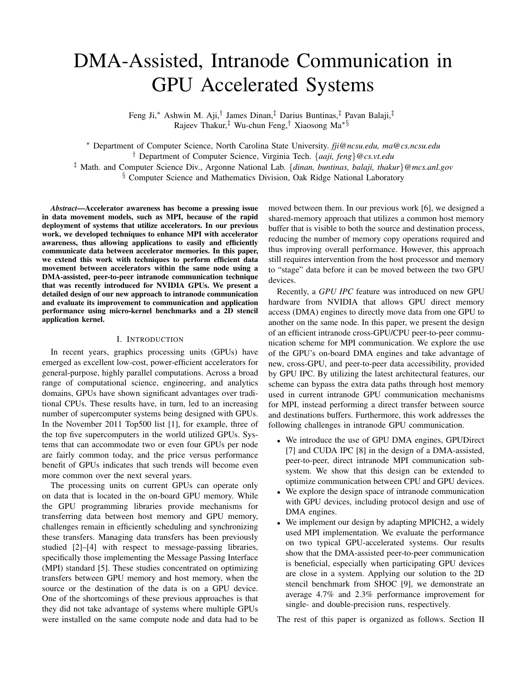# DMA-Assisted, Intranode Communication in GPU Accelerated Systems

Feng Ji,<sup>∗</sup> Ashwin M. Aji,† James Dinan,‡ Darius Buntinas,‡ Pavan Balaji,‡ Rajeev Thakur,<sup>‡</sup> Wu-chun Feng,<sup>†</sup> Xiaosong Ma<sup>\*§</sup>

<sup>∗</sup> Department of Computer Science, North Carolina State University. *fji@ncsu.edu, ma@cs.ncsu.edu* † Department of Computer Science, Virginia Tech. {*aaji, feng*}*@cs.vt.edu*

‡ Math. and Computer Science Div., Argonne National Lab. {*dinan, buntinas, balaji, thakur*}*@mcs.anl.gov*

 $\S$  Computer Science and Mathematics Division, Oak Ridge National Laboratory

*Abstract*—Accelerator awareness has become a pressing issue in data movement models, such as MPI, because of the rapid deployment of systems that utilize accelerators. In our previous work, we developed techniques to enhance MPI with accelerator awareness, thus allowing applications to easily and efficiently communicate data between accelerator memories. In this paper, we extend this work with techniques to perform efficient data movement between accelerators within the same node using a DMA-assisted, peer-to-peer intranode communication technique that was recently introduced for NVIDIA GPUs. We present a detailed design of our new approach to intranode communication and evaluate its improvement to communication and application performance using micro-kernel benchmarks and a 2D stencil application kernel.

## I. INTRODUCTION

In recent years, graphics processing units (GPUs) have emerged as excellent low-cost, power-efficient accelerators for general-purpose, highly parallel computations. Across a broad range of computational science, engineering, and analytics domains, GPUs have shown significant advantages over traditional CPUs. These results have, in turn, led to an increasing number of supercomputer systems being designed with GPUs. In the November 2011 Top500 list [1], for example, three of the top five supercomputers in the world utilized GPUs. Systems that can accommodate two or even four GPUs per node are fairly common today, and the price versus performance benefit of GPUs indicates that such trends will become even more common over the next several years.

The processing units on current GPUs can operate only on data that is located in the on-board GPU memory. While the GPU programming libraries provide mechanisms for transferring data between host memory and GPU memory, challenges remain in efficiently scheduling and synchronizing these transfers. Managing data transfers has been previously studied [2]–[4] with respect to message-passing libraries, specifically those implementing the Message Passing Interface (MPI) standard [5]. These studies concentrated on optimizing transfers between GPU memory and host memory, when the source or the destination of the data is on a GPU device. One of the shortcomings of these previous approaches is that they did not take advantage of systems where multiple GPUs were installed on the same compute node and data had to be

moved between them. In our previous work [6], we designed a shared-memory approach that utilizes a common host memory buffer that is visible to both the source and destination process, reducing the number of memory copy operations required and thus improving overall performance. However, this approach still requires intervention from the host processor and memory to "stage" data before it can be moved between the two GPU devices.

Recently, a *GPU IPC* feature was introduced on new GPU hardware from NVIDIA that allows GPU direct memory access (DMA) engines to directly move data from one GPU to another on the same node. In this paper, we present the design of an efficient intranode cross-GPU/CPU peer-to-peer communication scheme for MPI communication. We explore the use of the GPU's on-board DMA engines and take advantage of new, cross-GPU, and peer-to-peer data accessibility, provided by GPU IPC. By utilizing the latest architectural features, our scheme can bypass the extra data paths through host memory used in current intranode GPU communication mechanisms for MPI, instead performing a direct transfer between source and destinations buffers. Furthermore, this work addresses the following challenges in intranode GPU communication.

- We introduce the use of GPU DMA engines, GPUDirect [7] and CUDA IPC [8] in the design of a DMA-assisted, peer-to-peer, direct intranode MPI communication subsystem. We show that this design can be extended to optimize communication between CPU and GPU devices.
- We explore the design space of intranode communication with GPU devices, including protocol design and use of DMA engines.
- We implement our design by adapting MPICH2, a widely used MPI implementation. We evaluate the performance on two typical GPU-accelerated systems. Our results show that the DMA-assisted peer-to-peer communication is beneficial, especially when participating GPU devices are close in a system. Applying our solution to the 2D stencil benchmark from SHOC [9], we demonstrate an average 4.7% and 2.3% performance improvement for single- and double-precision runs, respectively.

The rest of this paper is organized as follows. Section II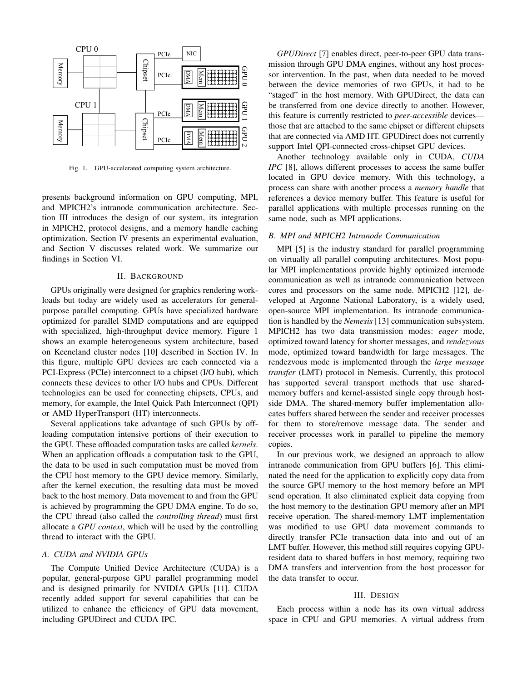

Fig. 1. GPU-accelerated computing system architecture.

presents background information on GPU computing, MPI, and MPICH2's intranode communication architecture. Section III introduces the design of our system, its integration in MPICH2, protocol designs, and a memory handle caching optimization. Section IV presents an experimental evaluation, and Section V discusses related work. We summarize our findings in Section VI.

## II. BACKGROUND

GPUs originally were designed for graphics rendering workloads but today are widely used as accelerators for generalpurpose parallel computing. GPUs have specialized hardware optimized for parallel SIMD computations and are equipped with specialized, high-throughput device memory. Figure 1 shows an example heterogeneous system architecture, based on Keeneland cluster nodes [10] described in Section IV. In this figure, multiple GPU devices are each connected via a PCI-Express (PCIe) interconnect to a chipset (I/O hub), which connects these devices to other I/O hubs and CPUs. Different technologies can be used for connecting chipsets, CPUs, and memory, for example, the Intel Quick Path Interconnect (QPI) or AMD HyperTransport (HT) interconnects.

Several applications take advantage of such GPUs by offloading computation intensive portions of their execution to the GPU. These offloaded computation tasks are called *kernels*. When an application offloads a computation task to the GPU, the data to be used in such computation must be moved from the CPU host memory to the GPU device memory. Similarly, after the kernel execution, the resulting data must be moved back to the host memory. Data movement to and from the GPU is achieved by programming the GPU DMA engine. To do so, the CPU thread (also called the *controlling thread*) must first allocate a *GPU context*, which will be used by the controlling thread to interact with the GPU.

# *A. CUDA and NVIDIA GPUs*

The Compute Unified Device Architecture (CUDA) is a popular, general-purpose GPU parallel programming model and is designed primarily for NVIDIA GPUs [11]. CUDA recently added support for several capabilities that can be utilized to enhance the efficiency of GPU data movement, including GPUDirect and CUDA IPC.

*GPUDirect* [7] enables direct, peer-to-peer GPU data transmission through GPU DMA engines, without any host processor intervention. In the past, when data needed to be moved between the device memories of two GPUs, it had to be "staged" in the host memory. With GPUDirect, the data can be transferred from one device directly to another. However, this feature is currently restricted to *peer-accessible* devices those that are attached to the same chipset or different chipsets that are connected via AMD HT. GPUDirect does not currently support Intel QPI-connected cross-chipset GPU devices.

Another technology available only in CUDA, *CUDA IPC* [8], allows different processes to access the same buffer located in GPU device memory. With this technology, a process can share with another process a *memory handle* that references a device memory buffer. This feature is useful for parallel applications with multiple processes running on the same node, such as MPI applications.

# *B. MPI and MPICH2 Intranode Communication*

MPI [5] is the industry standard for parallel programming on virtually all parallel computing architectures. Most popular MPI implementations provide highly optimized internode communication as well as intranode communication between cores and processors on the same node. MPICH2 [12], developed at Argonne National Laboratory, is a widely used, open-source MPI implementation. Its intranode communication is handled by the *Nemesis* [13] communication subsystem. MPICH2 has two data transmission modes: *eager* mode, optimized toward latency for shorter messages, and *rendezvous* mode, optimized toward bandwidth for large messages. The rendezvous mode is implemented through the *large message transfer* (LMT) protocol in Nemesis. Currently, this protocol has supported several transport methods that use sharedmemory buffers and kernel-assisted single copy through hostside DMA. The shared-memory buffer implementation allocates buffers shared between the sender and receiver processes for them to store/remove message data. The sender and receiver processes work in parallel to pipeline the memory copies.

In our previous work, we designed an approach to allow intranode communication from GPU buffers [6]. This eliminated the need for the application to explicitly copy data from the source GPU memory to the host memory before an MPI send operation. It also eliminated explicit data copying from the host memory to the destination GPU memory after an MPI receive operation. The shared-memory LMT implementation was modified to use GPU data movement commands to directly transfer PCIe transaction data into and out of an LMT buffer. However, this method still requires copying GPUresident data to shared buffers in host memory, requiring two DMA transfers and intervention from the host processor for the data transfer to occur.

# III. DESIGN

Each process within a node has its own virtual address space in CPU and GPU memories. A virtual address from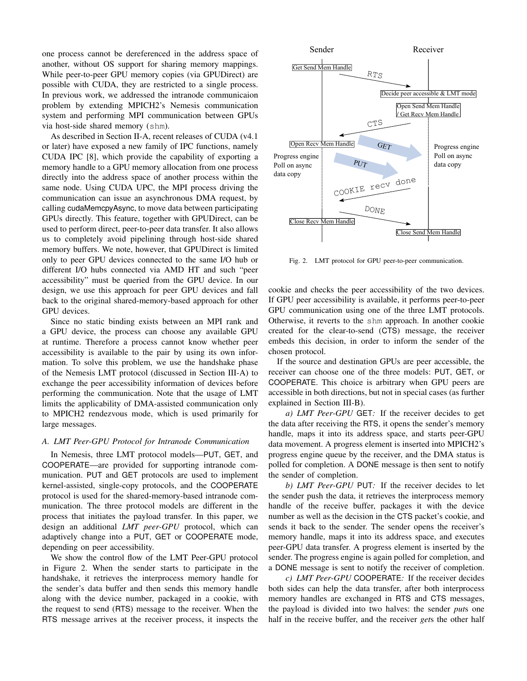one process cannot be dereferenced in the address space of another, without OS support for sharing memory mappings. While peer-to-peer GPU memory copies (via GPUDirect) are possible with CUDA, they are restricted to a single process. In previous work, we addressed the intranode communicaion problem by extending MPICH2's Nemesis communication system and performing MPI communication between GPUs via host-side shared memory (shm).

As described in Section II-A, recent releases of CUDA (v4.1 or later) have exposed a new family of IPC functions, namely CUDA IPC [8], which provide the capability of exporting a memory handle to a GPU memory allocation from one process directly into the address space of another process within the same node. Using CUDA UPC, the MPI process driving the communication can issue an asynchronous DMA request, by calling cudaMemcpyAsync, to move data between participating GPUs directly. This feature, together with GPUDirect, can be used to perform direct, peer-to-peer data transfer. It also allows us to completely avoid pipelining through host-side shared memory buffers. We note, however, that GPUDirect is limited only to peer GPU devices connected to the same I/O hub or different I/O hubs connected via AMD HT and such "peer accessibility" must be queried from the GPU device. In our design, we use this approach for peer GPU devices and fall back to the original shared-memory-based approach for other GPU devices.

Since no static binding exists between an MPI rank and a GPU device, the process can choose any available GPU at runtime. Therefore a process cannot know whether peer accessibility is available to the pair by using its own information. To solve this problem, we use the handshake phase of the Nemesis LMT protocol (discussed in Section III-A) to exchange the peer accessibility information of devices before performing the communication. Note that the usage of LMT limits the applicability of DMA-assisted communication only to MPICH2 rendezvous mode, which is used primarily for large messages.

## *A. LMT Peer-GPU Protocol for Intranode Communication*

In Nemesis, three LMT protocol models—PUT, GET, and COOPERATE—are provided for supporting intranode communication. PUT and GET protocols are used to implement kernel-assisted, single-copy protocols, and the COOPERATE protocol is used for the shared-memory-based intranode communication. The three protocol models are different in the process that initiates the payload transfer. In this paper, we design an additional *LMT peer-GPU* protocol, which can adaptively change into a PUT, GET or COOPERATE mode, depending on peer accessibility.

We show the control flow of the LMT Peer-GPU protocol in Figure 2. When the sender starts to participate in the handshake, it retrieves the interprocess memory handle for the sender's data buffer and then sends this memory handle along with the device number, packaged in a cookie, with the request to send (RTS) message to the receiver. When the RTS message arrives at the receiver process, it inspects the



Fig. 2. LMT protocol for GPU peer-to-peer communication.

cookie and checks the peer accessibility of the two devices. If GPU peer accessibility is available, it performs peer-to-peer GPU communication using one of the three LMT protocols. Otherwise, it reverts to the shm approach. In another cookie created for the clear-to-send (CTS) message, the receiver embeds this decision, in order to inform the sender of the chosen protocol.

If the source and destination GPUs are peer accessible, the receiver can choose one of the three models: PUT, GET, or COOPERATE. This choice is arbitrary when GPU peers are accessible in both directions, but not in special cases (as further explained in Section III-B).

*a) LMT Peer-GPU* GET*:* If the receiver decides to get the data after receiving the RTS, it opens the sender's memory handle, maps it into its address space, and starts peer-GPU data movement. A progress element is inserted into MPICH2's progress engine queue by the receiver, and the DMA status is polled for completion. A DONE message is then sent to notify the sender of completion.

*b) LMT Peer-GPU* PUT*:* If the receiver decides to let the sender push the data, it retrieves the interprocess memory handle of the receive buffer, packages it with the device number as well as the decision in the CTS packet's cookie, and sends it back to the sender. The sender opens the receiver's memory handle, maps it into its address space, and executes peer-GPU data transfer. A progress element is inserted by the sender. The progress engine is again polled for completion, and a DONE message is sent to notify the receiver of completion.

*c) LMT Peer-GPU* COOPERATE*:* If the receiver decides both sides can help the data transfer, after both interprocess memory handles are exchanged in RTS and CTS messages, the payload is divided into two halves: the sender *put*s one half in the receive buffer, and the receiver *get*s the other half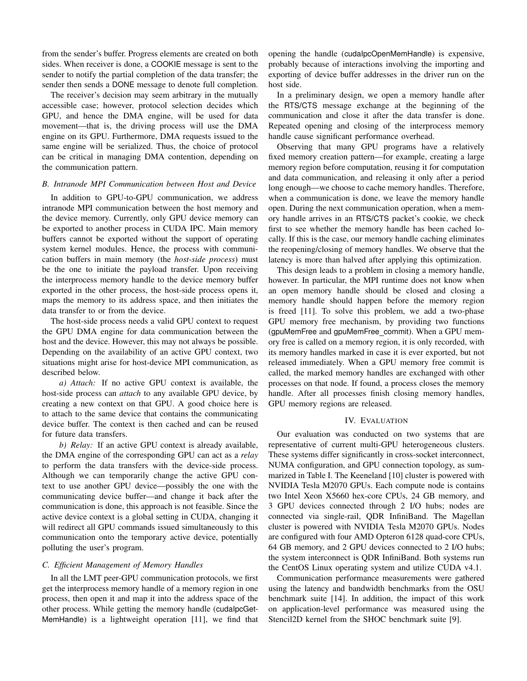from the sender's buffer. Progress elements are created on both sides. When receiver is done, a COOKIE message is sent to the sender to notify the partial completion of the data transfer; the sender then sends a DONE message to denote full completion.

The receiver's decision may seem arbitrary in the mutually accessible case; however, protocol selection decides which GPU, and hence the DMA engine, will be used for data movement—that is, the driving process will use the DMA engine on its GPU. Furthermore, DMA requests issued to the same engine will be serialized. Thus, the choice of protocol can be critical in managing DMA contention, depending on the communication pattern.

# *B. Intranode MPI Communication between Host and Device*

In addition to GPU-to-GPU communication, we address intranode MPI communication between the host memory and the device memory. Currently, only GPU device memory can be exported to another process in CUDA IPC. Main memory buffers cannot be exported without the support of operating system kernel modules. Hence, the process with communication buffers in main memory (the *host-side process*) must be the one to initiate the payload transfer. Upon receiving the interprocess memory handle to the device memory buffer exported in the other process, the host-side process opens it, maps the memory to its address space, and then initiates the data transfer to or from the device.

The host-side process needs a valid GPU context to request the GPU DMA engine for data communication between the host and the device. However, this may not always be possible. Depending on the availability of an active GPU context, two situations might arise for host-device MPI communication, as described below.

*a) Attach:* If no active GPU context is available, the host-side process can *attach* to any available GPU device, by creating a new context on that GPU. A good choice here is to attach to the same device that contains the communicating device buffer. The context is then cached and can be reused for future data transfers.

*b) Relay:* If an active GPU context is already available, the DMA engine of the corresponding GPU can act as a *relay* to perform the data transfers with the device-side process. Although we can temporarily change the active GPU context to use another GPU device—possibly the one with the communicating device buffer—and change it back after the communication is done, this approach is not feasible. Since the active device context is a global setting in CUDA, changing it will redirect all GPU commands issued simultaneously to this communication onto the temporary active device, potentially polluting the user's program.

## *C. Efficient Management of Memory Handles*

In all the LMT peer-GPU communication protocols, we first get the interprocess memory handle of a memory region in one process, then open it and map it into the address space of the other process. While getting the memory handle (cudalpcGet-MemHandle) is a lightweight operation [11], we find that

opening the handle (cudaIpcOpenMemHandle) is expensive, probably because of interactions involving the importing and exporting of device buffer addresses in the driver run on the host side.

In a preliminary design, we open a memory handle after the RTS/CTS message exchange at the beginning of the communication and close it after the data transfer is done. Repeated opening and closing of the interprocess memory handle cause significant performance overhead.

Observing that many GPU programs have a relatively fixed memory creation pattern—for example, creating a large memory region before computation, reusing it for computation and data communication, and releasing it only after a period long enough—we choose to cache memory handles. Therefore, when a communication is done, we leave the memory handle open. During the next communication operation, when a memory handle arrives in an RTS/CTS packet's cookie, we check first to see whether the memory handle has been cached locally. If this is the case, our memory handle caching eliminates the reopening/closing of memory handles. We observe that the latency is more than halved after applying this optimization.

This design leads to a problem in closing a memory handle, however. In particular, the MPI runtime does not know when an open memory handle should be closed and closing a memory handle should happen before the memory region is freed [11]. To solve this problem, we add a two-phase GPU memory free mechanism, by providing two functions (gpuMemFree and gpuMemFree commit). When a GPU memory free is called on a memory region, it is only recorded, with its memory handles marked in case it is ever exported, but not released immediately. When a GPU memory free commit is called, the marked memory handles are exchanged with other processes on that node. If found, a process closes the memory handle. After all processes finish closing memory handles, GPU memory regions are released.

# IV. EVALUATION

Our evaluation was conducted on two systems that are representative of current multi-GPU heterogeneous clusters. These systems differ significantly in cross-socket interconnect, NUMA configuration, and GPU connection topology, as summarized in Table I. The Keeneland [10] cluster is powered with NVIDIA Tesla M2070 GPUs. Each compute node is contains two Intel Xeon X5660 hex-core CPUs, 24 GB memory, and 3 GPU devices connected through 2 I/O hubs; nodes are connected via single-rail, QDR InfiniBand. The Magellan cluster is powered with NVIDIA Tesla M2070 GPUs. Nodes are configured with four AMD Opteron 6128 quad-core CPUs, 64 GB memory, and 2 GPU devices connected to 2 I/O hubs; the system interconnect is QDR InfiniBand. Both systems run the CentOS Linux operating system and utilize CUDA v4.1.

Communication performance measurements were gathered using the latency and bandwidth benchmarks from the OSU benchmark suite [14]. In addition, the impact of this work on application-level performance was measured using the Stencil2D kernel from the SHOC benchmark suite [9].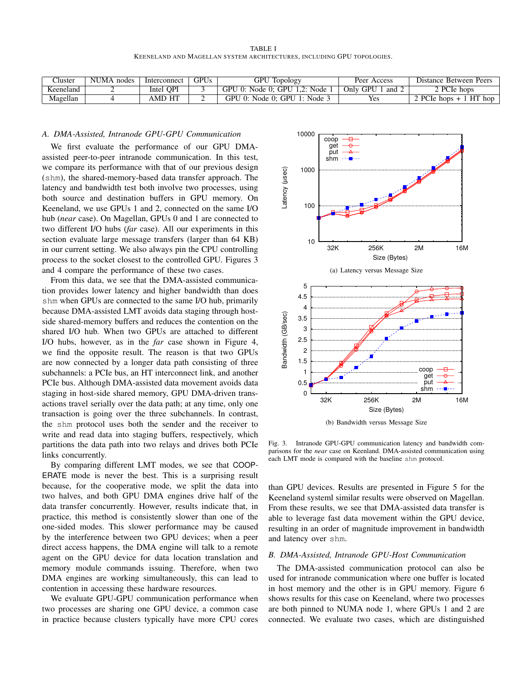TABLE I KEENELAND AND MAGELLAN SYSTEM ARCHITECTURES, INCLUDING GPU TOPOLOGIES.

| Cluster   | <b>NUMA</b><br>nodes . | Interconnect        | <b>GPUs</b> | GPU<br>Topology              | Peer<br>Access  | Distance Between Peers  |
|-----------|------------------------|---------------------|-------------|------------------------------|-----------------|-------------------------|
| Keeneland |                        | <b>OPI</b><br>Intel |             | GPU 0: Node 0: GPU 1.2: Node | Only GPU<br>and | $\angle$ PCIe hops      |
| Magellan  |                        | AMD HT              |             | GPU 0: Node 0: GPU 1: Node 3 | Yes             | 2 PCIe hops $+1$ HT hop |

# *A. DMA-Assisted, Intranode GPU-GPU Communication*

We first evaluate the performance of our GPU DMAassisted peer-to-peer intranode communication. In this test, we compare its performance with that of our previous design (shm), the shared-memory-based data transfer approach. The latency and bandwidth test both involve two processes, using both source and destination buffers in GPU memory. On Keeneland, we use GPUs 1 and 2, connected on the same I/O hub (*near* case). On Magellan, GPUs 0 and 1 are connected to two different I/O hubs (*far* case). All our experiments in this section evaluate large message transfers (larger than 64 KB) in our current setting. We also always pin the CPU controlling process to the socket closest to the controlled GPU. Figures 3 and 4 compare the performance of these two cases.

From this data, we see that the DMA-assisted communication provides lower latency and higher bandwidth than does shm when GPUs are connected to the same I/O hub, primarily because DMA-assisted LMT avoids data staging through hostside shared-memory buffers and reduces the contention on the shared I/O hub. When two GPUs are attached to different I/O hubs, however, as in the *far* case shown in Figure 4, we find the opposite result. The reason is that two GPUs are now connected by a longer data path consisting of three subchannels: a PCIe bus, an HT interconnect link, and another PCIe bus. Although DMA-assisted data movement avoids data staging in host-side shared memory, GPU DMA-driven transactions travel serially over the data path; at any time, only one transaction is going over the three subchannels. In contrast, the shm protocol uses both the sender and the receiver to write and read data into staging buffers, respectively, which partitions the data path into two relays and drives both PCIe links concurrently.

By comparing different LMT modes, we see that COOP-ERATE mode is never the best. This is a surprising result because, for the cooperative mode, we split the data into two halves, and both GPU DMA engines drive half of the data transfer concurrently. However, results indicate that, in practice, this method is consistently slower than one of the one-sided modes. This slower performance may be caused by the interference between two GPU devices; when a peer direct access happens, the DMA engine will talk to a remote agent on the GPU device for data location translation and memory module commands issuing. Therefore, when two DMA engines are working simultaneously, this can lead to contention in accessing these hardware resources.

We evaluate GPU-GPU communication performance when two processes are sharing one GPU device, a common case in practice because clusters typically have more CPU cores



Fig. 3. Intranode GPU-GPU communication latency and bandwidth comparisons for the *near* case on Keenland. DMA-assisted communication using each LMT mode is compared with the baseline shm protocol.

than GPU devices. Results are presented in Figure 5 for the Keeneland systeml similar results were observed on Magellan. From these results, we see that DMA-assisted data transfer is able to leverage fast data movement within the GPU device, resulting in an order of magnitude improvement in bandwidth and latency over shm.

## *B. DMA-Assisted, Intranode GPU-Host Communication*

The DMA-assisted communication protocol can also be used for intranode communication where one buffer is located in host memory and the other is in GPU memory. Figure 6 shows results for this case on Keeneland, where two processes are both pinned to NUMA node 1, where GPUs 1 and 2 are connected. We evaluate two cases, which are distinguished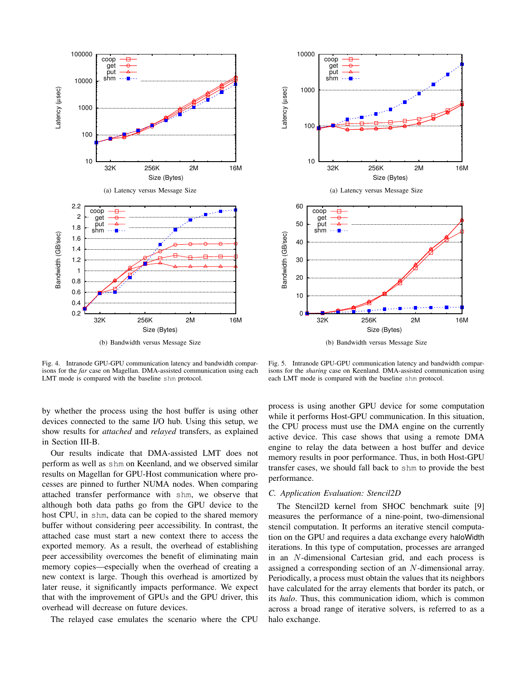



(b) Bandwidth versus Message Size

Fig. 4. Intranode GPU-GPU communication latency and bandwidth comparisons for the *far* case on Magellan. DMA-assisted communication using each LMT mode is compared with the baseline shm protocol.

Fig. 5. Intranode GPU-GPU communication latency and bandwidth comparisons for the *sharing* case on Keenland. DMA-assisted communication using each LMT mode is compared with the baseline shm protocol.

by whether the process using the host buffer is using other devices connected to the same I/O hub. Using this setup, we show results for *attached* and *relayed* transfers, as explained in Section III-B.

Our results indicate that DMA-assisted LMT does not perform as well as shm on Keenland, and we observed similar results on Magellan for GPU-Host communication where processes are pinned to further NUMA nodes. When comparing attached transfer performance with shm, we observe that although both data paths go from the GPU device to the host CPU, in shm, data can be copied to the shared memory buffer without considering peer accessibility. In contrast, the attached case must start a new context there to access the exported memory. As a result, the overhead of establishing peer accessibility overcomes the benefit of eliminating main memory copies—especially when the overhead of creating a new context is large. Though this overhead is amortized by later reuse, it significantly impacts performance. We expect that with the improvement of GPUs and the GPU driver, this overhead will decrease on future devices.

The relayed case emulates the scenario where the CPU

process is using another GPU device for some computation while it performs Host-GPU communication. In this situation, the CPU process must use the DMA engine on the currently active device. This case shows that using a remote DMA engine to relay the data between a host buffer and device memory results in poor performance. Thus, in both Host-GPU transfer cases, we should fall back to shm to provide the best performance.

## *C. Application Evaluation: Stencil2D*

The Stencil2D kernel from SHOC benchmark suite [9] measures the performance of a nine-point, two-dimensional stencil computation. It performs an iterative stencil computation on the GPU and requires a data exchange every haloWidth iterations. In this type of computation, processes are arranged in an N-dimensional Cartesian grid, and each process is assigned a corresponding section of an N-dimensional array. Periodically, a process must obtain the values that its neighbors have calculated for the array elements that border its patch, or its *halo*. Thus, this communication idiom, which is common across a broad range of iterative solvers, is referred to as a halo exchange.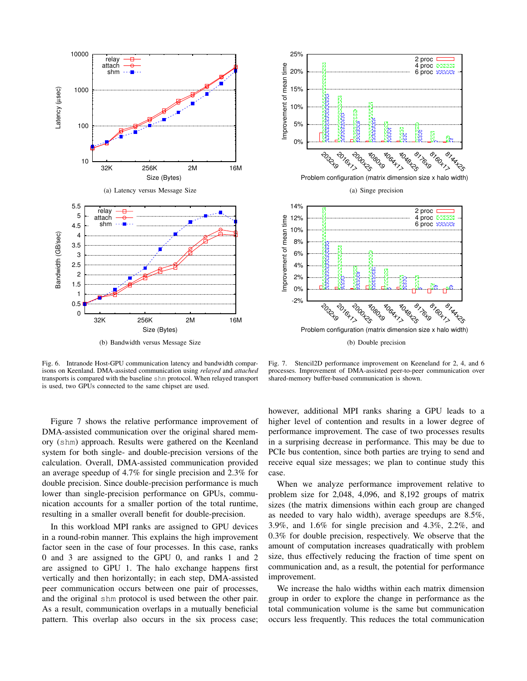

(b) Bandwidth versus Message Size

5% 10% 15% 20% 25% Topold  $-20164$ 12000 XIV Hoep-HOGATIT I ARANS **BILGID**  $\frac{1}{8}$ **BIRTHRIDGE** Improvement of mean time Problem configuration (matrix dimension size x halo width) 2 proc 4 proc **EXISIS** 6 proc (a) Singe precision -2% 0% 2% 4% 6% 8% 10% 12% 14% 1-3033  $\frac{1}{20}$ **2000 RTMS** Web Mar AOGATIT **ADABLICS BISHO**  $\bar{e}_{\delta_{\mathcal{B}_{\mathcal{A}_{\mathcal{N}}}}}$ **BIONE** Improvement of mean time Problem configuration (matrix dimension size x halo width) 2 proc 4 proc EX23X 6 proc **SERIER** 

(b) Double precision

Fig. 6. Intranode Host-GPU communication latency and bandwidth comparisons on Keenland. DMA-assisted communication using *relayed* and *attached* transports is compared with the baseline shm protocol. When relayed transport is used, two GPUs connected to the same chipset are used.

Figure 7 shows the relative performance improvement of DMA-assisted communication over the original shared memory (shm) approach. Results were gathered on the Keenland system for both single- and double-precision versions of the calculation. Overall, DMA-assisted communication provided an average speedup of 4.7% for single precision and 2.3% for double precision. Since double-precision performance is much lower than single-precision performance on GPUs, communication accounts for a smaller portion of the total runtime, resulting in a smaller overall benefit for double-precision.

In this workload MPI ranks are assigned to GPU devices in a round-robin manner. This explains the high improvement factor seen in the case of four processes. In this case, ranks 0 and 3 are assigned to the GPU 0, and ranks 1 and 2 are assigned to GPU 1. The halo exchange happens first vertically and then horizontally; in each step, DMA-assisted peer communication occurs between one pair of processes, and the original shm protocol is used between the other pair. As a result, communication overlaps in a mutually beneficial

Fig. 7. Stencil2D performance improvement on Keeneland for 2, 4, and 6 processes. Improvement of DMA-assisted peer-to-peer communication over shared-memory buffer-based communication is shown.

however, additional MPI ranks sharing a GPU leads to a higher level of contention and results in a lower degree of performance improvement. The case of two processes results in a surprising decrease in performance. This may be due to PCIe bus contention, since both parties are trying to send and receive equal size messages; we plan to continue study this case.

When we analyze performance improvement relative to problem size for 2,048, 4,096, and 8,192 groups of matrix sizes (the matrix dimensions within each group are changed as needed to vary halo width), average speedups are 8.5%, 3.9%, and 1.6% for single precision and 4.3%, 2.2%, and 0.3% for double precision, respectively. We observe that the amount of computation increases quadratically with problem size, thus effectively reducing the fraction of time spent on communication and, as a result, the potential for performance improvement.

We increase the halo widths within each matrix dimension group in order to explore the change in performance as the total communication volume is the same but communication occurs less frequently. This reduces the total communication